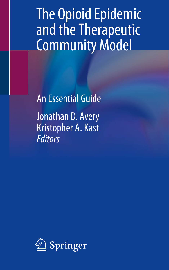The Opioid Epidemic and the Therapeutic Community Model

An Essential Guide Jonathan D. Avery Kristopher A. Kast **Editors** 

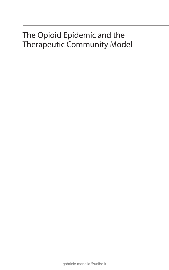# The Opioid Epidemic and the Therapeutic Community Model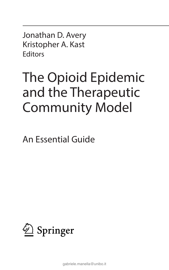Jonathan D. Avery Kristopher A. Kast **Editors** 

# The Opioid Epidemic and the Therapeutic Community Model

An Essential Guide

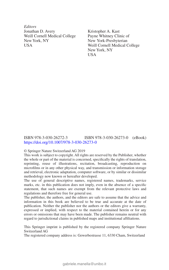*Editors* Jonathan D. Avery Weill Cornell Medical College New York, NY **USA** 

Kristopher A. Kast Payne Whitney Clinic of New York-Presbyterian Weill Cornell Medical College New York, NY USA

#### ISBN 978-3-030-26272-3 ISBN 978-3-030-26273-0 (eBook) <https://doi.org/10.1007/978-3-030-26273-0>

#### © Springer Nature Switzerland AG 2019

This work is subject to copyright. All rights are reserved by the Publisher, whether the whole or part of the material is concerned, specifically the rights of translation, reprinting, reuse of illustrations, recitation, broadcasting, reproduction on microfilms or in any other physical way, and transmission or information storage and retrieval, electronic adaptation, computer software, or by similar or dissimilar methodology now known or hereafter developed.

The use of general descriptive names, registered names, trademarks, service marks, etc. in this publication does not imply, even in the absence of a specific statement, that such names are exempt from the relevant protective laws and regulations and therefore free for general use.

The publisher, the authors, and the editors are safe to assume that the advice and information in this book are believed to be true and accurate at the date of publication. Neither the publisher nor the authors or the editors give a warranty, expressed or implied, with respect to the material contained herein or for any errors or omissions that may have been made. The publisher remains neutral with regard to jurisdictional claims in published maps and institutional affiliations.

This Springer imprint is published by the registered company Springer Nature Switzerland AG

The registered company address is: Gewerbestrasse 11, 6330 Cham, Switzerland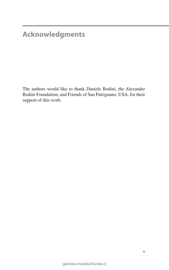## **Acknowledgments**

The authors would like to thank Daniele Bodini, the Alexander Bodini Foundation, and Friends of San Patrignano, USA, for their support of this work.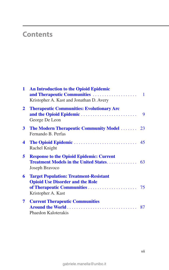### **Contents**

| $\mathbf{1}$     | <b>An Introduction to the Opioid Epidemic</b><br>Kristopher A. Kast and Jonathan D. Avery                      |   |
|------------------|----------------------------------------------------------------------------------------------------------------|---|
| $\mathbf{2}$     | <b>Therapeutic Communities: Evolutionary Arc</b><br>George De Leon                                             | 9 |
| $\mathbf{3}$     | <b>The Modern Therapeutic Community Model  23</b><br>Fernando B. Perfas                                        |   |
| $\boldsymbol{4}$ | Rachel Knight                                                                                                  |   |
| 5                | <b>Response to the Opioid Epidemic: Current</b><br>Joseph Bravoco                                              |   |
| 6                | <b>Target Population: Treatment-Resistant</b><br><b>Opioid Use Disorder and the Role</b><br>Kristopher A. Kast |   |
| 7                | <b>Current Therapeutic Communities</b><br>Phaedon Kaloterakis                                                  |   |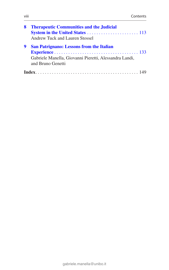| 8 | <b>Therapeutic Communities and the Judicial</b>        |
|---|--------------------------------------------------------|
|   |                                                        |
|   | Andrew Tuck and Lauren Stossel                         |
| 9 | <b>San Patrignano: Lessons from the Italian</b>        |
|   |                                                        |
|   | Gabriele Manella, Giovanni Pieretti, Alessandra Landi, |
|   | and Bruno Genetti                                      |
|   |                                                        |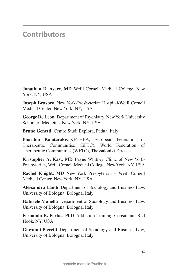#### **Contributors**

**Jonathan D. Avery, MD** Weill Cornell Medical College, New York, NY, USA

**Joseph Bravoco** New York-Presbyterian Hospital/Weill Cornell Medical Center, New York, NY, USA

**George De Leon** Department of Psychiatry, New York University School of Medicine, New York, NY, USA

**Bruno Genetti** Centro Studi Explora, Padua, Italy

**Phaedon Kaloterakis** KETHEA, European Federation of Therapeutic Communities (EFTC), World Federation of Therapeutic Communities (WFTC), Thessaloniki, Greece

**Kristopher A. Kast, MD** Payne Whitney Clinic of New York-Presbyterian, Weill Cornell Medical College, New York, NY, USA

**Rachel Knight, MD** New York Presbyterian – Weill Cornell Medical Center, New York, NY, USA

**Alessandra Landi** Department of Sociology and Business Law, University of Bologna, Bologna, Italy

**Gabriele Manella** Department of Sociology and Business Law, University of Bologna, Bologna, Italy

**Fernando B. Perfas, PhD** Addiction Training Consultant, Red Hook, NY, USA

**Giovanni Pieretti** Department of Sociology and Business Law, University of Bologna, Bologna, Italy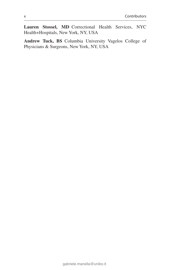**Lauren Stossel, MD** Correctional Health Services, NYC Health+Hospitals, New York, NY, USA

**Andrew Tuck, BS** Columbia University Vagelos College of Physicians & Surgeons, New York, NY, USA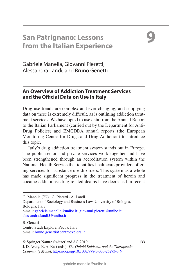### **San Patrignano: Lessons from the Italian Experience**

<span id="page-9-0"></span>**9**

Gabriele Manella, Giovanni Pieretti, Alessandra Landi, and Bruno Genetti

#### **An Overview of Addiction Treatment Services and the Official Data on Use in Italy**

Drug use trends are complex and ever changing, and supplying data on these is extremely difficult, as is outlining addiction treatment services. We have opted to use data from the Annual Report to the Italian Parliament (carried out by the Department for Anti-Drug Policies) and EMCDDA annual reports (the European Monitoring Center for Drugs and Drug Addiction) to introduce this topic.

Italy's drug addiction treatment system stands out in Europe. The public sector and private services work together and have been strengthened through an accreditation system within the National Health Service that identifies healthcare providers offering services for substance use disorders. This system as a whole has made significant progress in the treatment of heroin and cocaine addictions: drug-related deaths have decreased in recent

Department of Sociology and Business Law, University of Bologna, Bologna, Italy

e-mail[: gabriele.manella@unibo.it;](mailto:gabriele.manella@unibo.it) [giovanni.pieretti@unibo.it](mailto:giovanni.pieretti@unibo.it)[;](mailto:alessandra.landi5@unibo.it) [alessandra.landi5@unibo.it](mailto:alessandra.landi5@unibo.it)

B. Genetti Centro Studi Explora, Padua, Italy e-mail[: bruno.genetti@centroexplora.it](mailto:bruno.genetti@centroexplora.it)

© Springer Nature Switzerland AG 2019 133

G. Manella ( $\boxtimes$ ) · G. Pieretti · A. Landi

J. D. Avery, K. A. Kast (eds.), *The Opioid Epidemic and the Therapeutic Community Model*, [https://doi.org/10.1007/978-3-030-26273-0\\_9](#page-9-0)